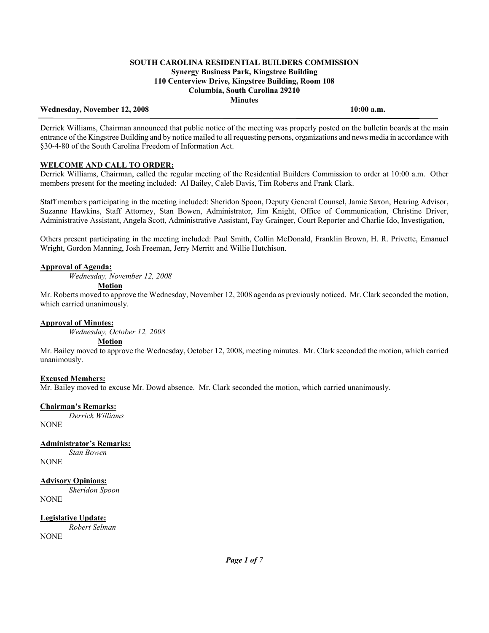## Wednesday, November 12, 2008 **10:00 a.m. 10:00 a.m.**

Derrick Williams, Chairman announced that public notice of the meeting was properly posted on the bulletin boards at the main entrance of the Kingstree Building and by notice mailed to all requesting persons, organizations and news media in accordance with §30-4-80 of the South Carolina Freedom of Information Act.

## **WELCOME AND CALL TO ORDER:**

Derrick Williams, Chairman, called the regular meeting of the Residential Builders Commission to order at 10:00 a.m. Other members present for the meeting included: Al Bailey, Caleb Davis, Tim Roberts and Frank Clark.

Staff members participating in the meeting included: Sheridon Spoon, Deputy General Counsel, Jamie Saxon, Hearing Advisor, Suzanne Hawkins, Staff Attorney, Stan Bowen, Administrator, Jim Knight, Office of Communication, Christine Driver, Administrative Assistant, Angela Scott, Administrative Assistant, Fay Grainger, Court Reporter and Charlie Ido, Investigation,

Others present participating in the meeting included: Paul Smith, Collin McDonald, Franklin Brown, H. R. Privette, Emanuel Wright, Gordon Manning, Josh Freeman, Jerry Merritt and Willie Hutchison.

## **Approval of Agenda:**

*Wednesday, November 12, 2008* 

#### **Motion**

Mr. Roberts moved to approve the Wednesday, November 12, 2008 agenda as previously noticed. Mr. Clark seconded the motion, which carried unanimously.

## **Approval of Minutes:**

*Wednesday, October 12, 2008* 

## **Motion**

Mr. Bailey moved to approve the Wednesday, October 12, 2008, meeting minutes. Mr. Clark seconded the motion, which carried unanimously.

## **Excused Members:**

Mr. Bailey moved to excuse Mr. Dowd absence. Mr. Clark seconded the motion, which carried unanimously.

## **Chairman's Remarks:**

 *Derrick Williams* NONE

**Administrator's Remarks:** *Stan Bowen*

NONE

## **Advisory Opinions:**

 *Sheridon Spoon* NONE

**Legislative Update:**

 *Robert Selman*  **NONE**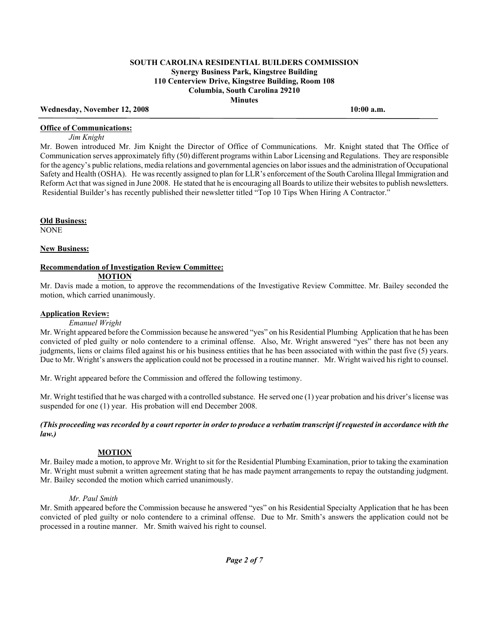## Wednesday, November 12, 2008 **10:00 a.m. 10:00 a.m.**

#### **Office of Communications:**

 *Jim Knight* 

Mr. Bowen introduced Mr. Jim Knight the Director of Office of Communications. Mr. Knight stated that The Office of Communication serves approximately fifty (50) different programs within Labor Licensing and Regulations. They are responsible for the agency's public relations, media relations and governmental agencies on labor issues and the administration of Occupational Safety and Health (OSHA). He was recently assigned to plan for LLR's enforcement of the South Carolina Illegal Immigration and Reform Act that was signed in June 2008. He stated that he is encouraging all Boards to utilize their websites to publish newsletters. Residential Builder's has recently published their newsletter titled "Top 10 Tips When Hiring A Contractor."

**Old Business:**

NONE

#### **New Business:**

#### **Recommendation of Investigation Review Committee:**

## **MOTION**

Mr. Davis made a motion, to approve the recommendations of the Investigative Review Committee. Mr. Bailey seconded the motion, which carried unanimously.

## **Application Review:**

#### *Emanuel Wright*

Mr. Wright appeared before the Commission because he answered "yes" on his Residential Plumbing Application that he has been convicted of pled guilty or nolo contendere to a criminal offense. Also, Mr. Wright answered "yes" there has not been any judgments, liens or claims filed against his or his business entities that he has been associated with within the past five (5) years. Due to Mr. Wright's answers the application could not be processed in a routine manner. Mr. Wright waived his right to counsel.

Mr. Wright appeared before the Commission and offered the following testimony.

Mr. Wright testified that he was charged with a controlled substance. He served one (1) year probation and his driver's license was suspended for one (1) year. His probation will end December 2008.

#### *(This proceeding was recorded by a court reporter in order to produce a verbatim transcript if requested in accordance with the law.)*

## **MOTION**

Mr. Bailey made a motion, to approve Mr. Wright to sit for the Residential Plumbing Examination, prior to taking the examination Mr. Wright must submit a written agreement stating that he has made payment arrangements to repay the outstanding judgment. Mr. Bailey seconded the motion which carried unanimously.

## *Mr. Paul Smith*

Mr. Smith appeared before the Commission because he answered "yes" on his Residential Specialty Application that he has been convicted of pled guilty or nolo contendere to a criminal offense. Due to Mr. Smith's answers the application could not be processed in a routine manner. Mr. Smith waived his right to counsel.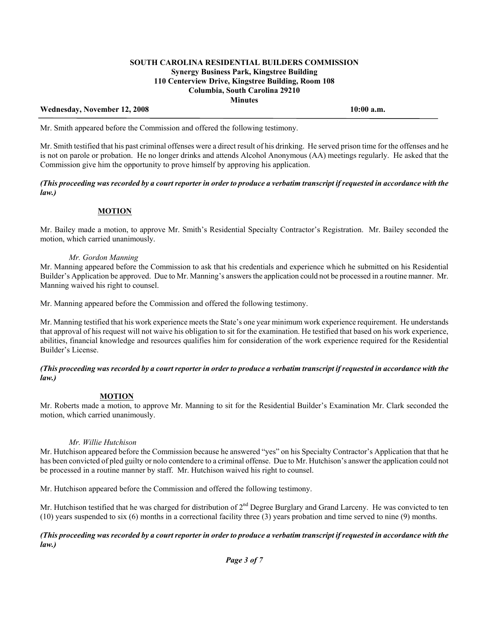## Wednesday, November 12, 2008 **10:00 a.m. 10:00 a.m.**

Mr. Smith appeared before the Commission and offered the following testimony.

Mr. Smith testified that his past criminal offenses were a direct result of his drinking. He served prison time for the offenses and he is not on parole or probation. He no longer drinks and attends Alcohol Anonymous (AA) meetings regularly. He asked that the Commission give him the opportunity to prove himself by approving his application.

*(This proceeding was recorded by a court reporter in order to produce a verbatim transcript if requested in accordance with the law.)* 

## **MOTION**

Mr. Bailey made a motion, to approve Mr. Smith's Residential Specialty Contractor's Registration. Mr. Bailey seconded the motion, which carried unanimously.

## *Mr. Gordon Manning*

Mr. Manning appeared before the Commission to ask that his credentials and experience which he submitted on his Residential Builder's Application be approved. Due to Mr. Manning's answers the application could not be processed in a routine manner. Mr. Manning waived his right to counsel.

Mr. Manning appeared before the Commission and offered the following testimony.

Mr. Manning testified that his work experience meets the State's one year minimum work experience requirement. He understands that approval of his request will not waive his obligation to sit for the examination. He testified that based on his work experience, abilities, financial knowledge and resources qualifies him for consideration of the work experience required for the Residential Builder's License.

## *(This proceeding was recorded by a court reporter in order to produce a verbatim transcript if requested in accordance with the law.)*

## **MOTION**

Mr. Roberts made a motion, to approve Mr. Manning to sit for the Residential Builder's Examination Mr. Clark seconded the motion, which carried unanimously.

#### *Mr. Willie Hutchison*

Mr. Hutchison appeared before the Commission because he answered "yes" on his Specialty Contractor's Application that that he has been convicted of pled guilty or nolo contendere to a criminal offense. Due to Mr. Hutchison's answer the application could not be processed in a routine manner by staff. Mr. Hutchison waived his right to counsel.

Mr. Hutchison appeared before the Commission and offered the following testimony.

Mr. Hutchison testified that he was charged for distribution of  $2<sup>nd</sup>$  Degree Burglary and Grand Larceny. He was convicted to ten (10) years suspended to six (6) months in a correctional facility three (3) years probation and time served to nine (9) months.

#### *(This proceeding was recorded by a court reporter in order to produce a verbatim transcript if requested in accordance with the law.)*

*Page 3 of 7*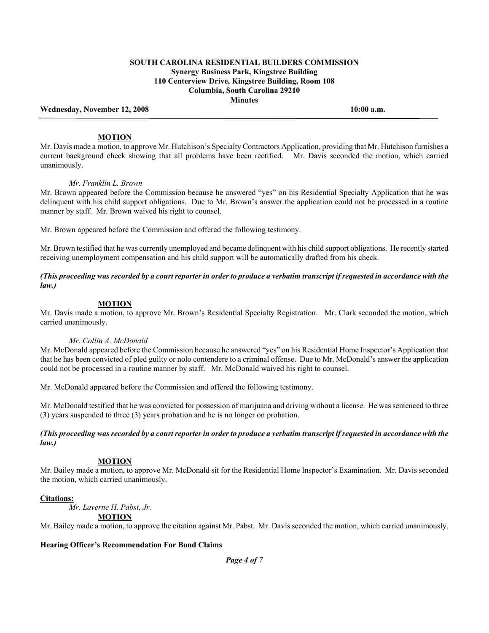Wednesday, November 12, 2008 **10:00 a.m. 10:00 a.m.** 

## **MOTION**

Mr. Davis made a motion, to approve Mr. Hutchison's Specialty Contractors Application, providing that Mr. Hutchison furnishes a current background check showing that all problems have been rectified. Mr. Davis seconded the motion, which carried unanimously.

#### *Mr. Franklin L. Brown*

Mr. Brown appeared before the Commission because he answered "yes" on his Residential Specialty Application that he was delinquent with his child support obligations. Due to Mr. Brown's answer the application could not be processed in a routine manner by staff. Mr. Brown waived his right to counsel.

Mr. Brown appeared before the Commission and offered the following testimony.

Mr. Brown testified that he was currently unemployed and became delinquent with his child support obligations. He recently started receiving unemployment compensation and his child support will be automatically drafted from his check.

## *(This proceeding was recorded by a court reporter in order to produce a verbatim transcript if requested in accordance with the law.)*

## **MOTION**

Mr. Davis made a motion, to approve Mr. Brown's Residential Specialty Registration. Mr. Clark seconded the motion, which carried unanimously.

## *Mr. Collin A. McDonald*

Mr. McDonald appeared before the Commission because he answered "yes" on his Residential Home Inspector's Application that that he has been convicted of pled guilty or nolo contendere to a criminal offense. Due to Mr. McDonald's answer the application could not be processed in a routine manner by staff. Mr. McDonald waived his right to counsel.

Mr. McDonald appeared before the Commission and offered the following testimony.

Mr. McDonald testified that he was convicted for possession of marijuana and driving without a license. He was sentenced to three (3) years suspended to three (3) years probation and he is no longer on probation.

## *(This proceeding was recorded by a court reporter in order to produce a verbatim transcript if requested in accordance with the law.)*

## **MOTION**

Mr. Bailey made a motion, to approve Mr. McDonald sit for the Residential Home Inspector's Examination. Mr. Davis seconded the motion, which carried unanimously.

## **Citations:**

 *Mr. Laverne H. Pabst, Jr.* 

#### **MOTION**

Mr. Bailey made a motion, to approve the citation against Mr. Pabst. Mr. Davis seconded the motion, which carried unanimously.

## **Hearing Officer's Recommendation For Bond Claims**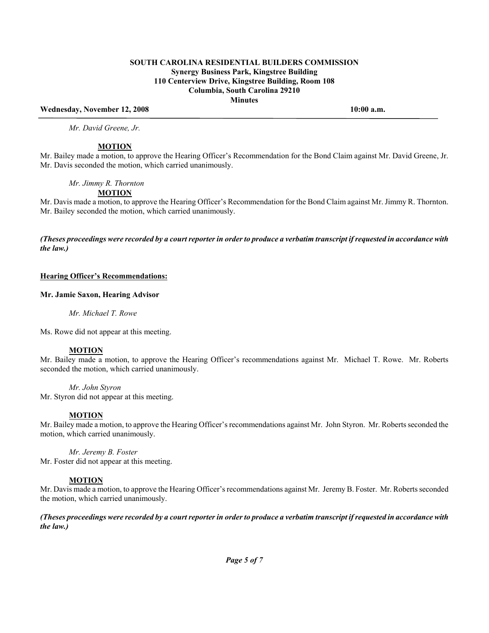## Wednesday, November 12, 2008 **10:00 a.m. 10:00 a.m.**

 *Mr. David Greene, Jr.* 

## **MOTION**

Mr. Bailey made a motion, to approve the Hearing Officer's Recommendation for the Bond Claim against Mr. David Greene, Jr. Mr. Davis seconded the motion, which carried unanimously.

#### *Mr. Jimmy R. Thornton*

# **MOTION**

Mr. Davis made a motion, to approve the Hearing Officer's Recommendation for the Bond Claim against Mr. Jimmy R. Thornton. Mr. Bailey seconded the motion, which carried unanimously.

*(Theses proceedings were recorded by a court reporter in order to produce a verbatim transcript if requested in accordance with the law.)* 

#### **Hearing Officer's Recommendations:**

## **Mr. Jamie Saxon, Hearing Advisor**

 *Mr. Michael T. Rowe* 

Ms. Rowe did not appear at this meeting.

## **MOTION**

Mr. Bailey made a motion, to approve the Hearing Officer's recommendations against Mr. Michael T. Rowe. Mr. Roberts seconded the motion, which carried unanimously.

#### *Mr. John Styron*

Mr. Styron did not appear at this meeting.

## **MOTION**

Mr. Bailey made a motion, to approve the Hearing Officer's recommendations against Mr. John Styron. Mr. Roberts seconded the motion, which carried unanimously.

 *Mr. Jeremy B. Foster*  Mr. Foster did not appear at this meeting.

## **MOTION**

Mr. Davis made a motion, to approve the Hearing Officer's recommendations against Mr. Jeremy B. Foster. Mr. Roberts seconded the motion, which carried unanimously.

*(Theses proceedings were recorded by a court reporter in order to produce a verbatim transcript if requested in accordance with the law.)*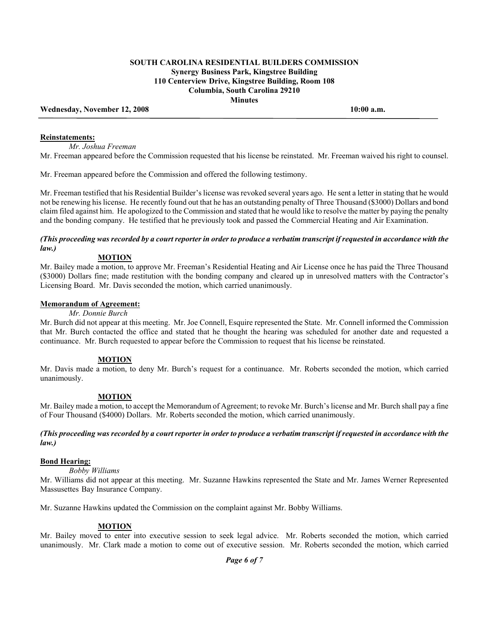#### Wednesday, November 12, 2008 **10:00 a.m. 10:00 a.m.**

#### **Reinstatements:**

*Mr. Joshua Freeman* 

Mr. Freeman appeared before the Commission requested that his license be reinstated. Mr. Freeman waived his right to counsel.

Mr. Freeman appeared before the Commission and offered the following testimony.

Mr. Freeman testified that his Residential Builder's license was revoked several years ago. He sent a letter in stating that he would not be renewing his license. He recently found out that he has an outstanding penalty of Three Thousand (\$3000) Dollars and bond claim filed against him. He apologized to the Commission and stated that he would like to resolve the matter by paying the penalty and the bonding company. He testified that he previously took and passed the Commercial Heating and Air Examination.

## *(This proceeding was recorded by a court reporter in order to produce a verbatim transcript if requested in accordance with the law.)*

## **MOTION**

Mr. Bailey made a motion, to approve Mr. Freeman's Residential Heating and Air License once he has paid the Three Thousand (\$3000) Dollars fine; made restitution with the bonding company and cleared up in unresolved matters with the Contractor's Licensing Board. Mr. Davis seconded the motion, which carried unanimously.

## **Memorandum of Agreement:**

### *Mr. Donnie Burch*

Mr. Burch did not appear at this meeting. Mr. Joe Connell, Esquire represented the State. Mr. Connell informed the Commission that Mr. Burch contacted the office and stated that he thought the hearing was scheduled for another date and requested a continuance. Mr. Burch requested to appear before the Commission to request that his license be reinstated.

## **MOTION**

Mr. Davis made a motion, to deny Mr. Burch's request for a continuance. Mr. Roberts seconded the motion, which carried unanimously.

## **MOTION**

Mr. Bailey made a motion, to accept the Memorandum of Agreement; to revoke Mr. Burch's license and Mr. Burch shall pay a fine of Four Thousand (\$4000) Dollars. Mr. Roberts seconded the motion, which carried unanimously.

## *(This proceeding was recorded by a court reporter in order to produce a verbatim transcript if requested in accordance with the law.)*

# **Bond Hearing:**

 *Bobby Williams* 

Mr. Williams did not appear at this meeting. Mr. Suzanne Hawkins represented the State and Mr. James Werner Represented Massusettes Bay Insurance Company.

Mr. Suzanne Hawkins updated the Commission on the complaint against Mr. Bobby Williams.

## **MOTION**

Mr. Bailey moved to enter into executive session to seek legal advice. Mr. Roberts seconded the motion, which carried unanimously. Mr. Clark made a motion to come out of executive session. Mr. Roberts seconded the motion, which carried